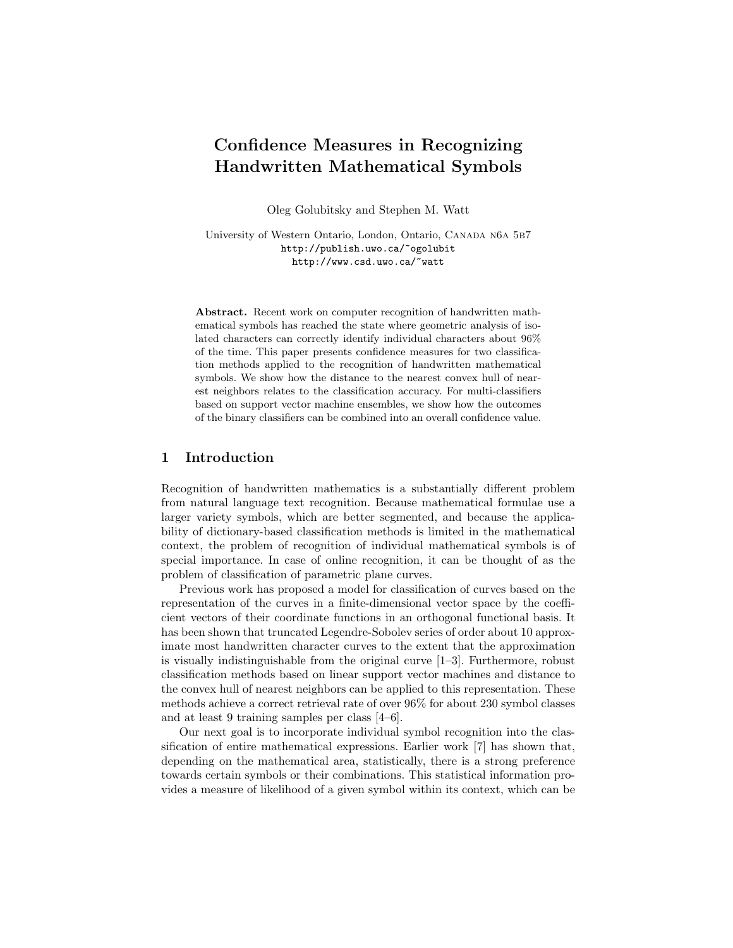# Confidence Measures in Recognizing Handwritten Mathematical Symbols

Oleg Golubitsky and Stephen M. Watt

University of Western Ontario, London, Ontario, CANADA N6A 5B7 http://publish.uwo.ca/~ogolubit http://www.csd.uwo.ca/~watt

Abstract. Recent work on computer recognition of handwritten mathematical symbols has reached the state where geometric analysis of isolated characters can correctly identify individual characters about 96% of the time. This paper presents confidence measures for two classification methods applied to the recognition of handwritten mathematical symbols. We show how the distance to the nearest convex hull of nearest neighbors relates to the classification accuracy. For multi-classifiers based on support vector machine ensembles, we show how the outcomes of the binary classifiers can be combined into an overall confidence value.

# 1 Introduction

Recognition of handwritten mathematics is a substantially different problem from natural language text recognition. Because mathematical formulae use a larger variety symbols, which are better segmented, and because the applicability of dictionary-based classification methods is limited in the mathematical context, the problem of recognition of individual mathematical symbols is of special importance. In case of online recognition, it can be thought of as the problem of classification of parametric plane curves.

Previous work has proposed a model for classification of curves based on the representation of the curves in a finite-dimensional vector space by the coefficient vectors of their coordinate functions in an orthogonal functional basis. It has been shown that truncated Legendre-Sobolev series of order about 10 approximate most handwritten character curves to the extent that the approximation is visually indistinguishable from the original curve [1–3]. Furthermore, robust classification methods based on linear support vector machines and distance to the convex hull of nearest neighbors can be applied to this representation. These methods achieve a correct retrieval rate of over 96% for about 230 symbol classes and at least 9 training samples per class [4–6].

Our next goal is to incorporate individual symbol recognition into the classification of entire mathematical expressions. Earlier work [7] has shown that, depending on the mathematical area, statistically, there is a strong preference towards certain symbols or their combinations. This statistical information provides a measure of likelihood of a given symbol within its context, which can be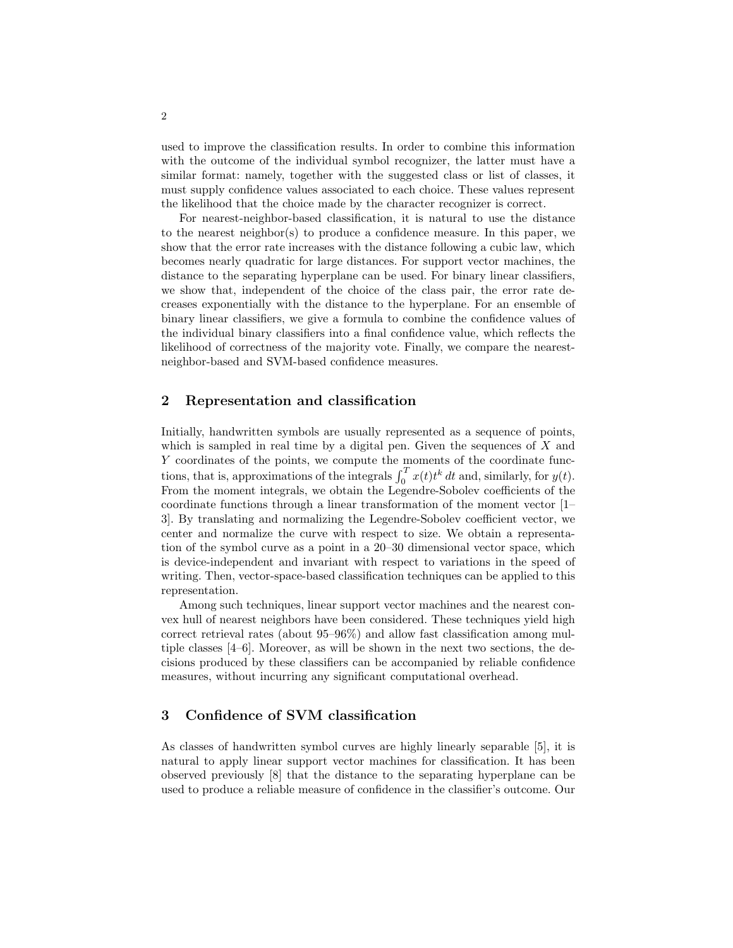used to improve the classification results. In order to combine this information with the outcome of the individual symbol recognizer, the latter must have a similar format: namely, together with the suggested class or list of classes, it must supply confidence values associated to each choice. These values represent the likelihood that the choice made by the character recognizer is correct.

For nearest-neighbor-based classification, it is natural to use the distance to the nearest neighbor(s) to produce a confidence measure. In this paper, we show that the error rate increases with the distance following a cubic law, which becomes nearly quadratic for large distances. For support vector machines, the distance to the separating hyperplane can be used. For binary linear classifiers, we show that, independent of the choice of the class pair, the error rate decreases exponentially with the distance to the hyperplane. For an ensemble of binary linear classifiers, we give a formula to combine the confidence values of the individual binary classifiers into a final confidence value, which reflects the likelihood of correctness of the majority vote. Finally, we compare the nearestneighbor-based and SVM-based confidence measures.

# 2 Representation and classification

Initially, handwritten symbols are usually represented as a sequence of points, which is sampled in real time by a digital pen. Given the sequences of  $X$  and Y coordinates of the points, we compute the moments of the coordinate functions, that is, approximations of the integrals  $\int_0^T x(t)t^k dt$  and, similarly, for  $y(t)$ . From the moment integrals, we obtain the Legendre-Sobolev coefficients of the coordinate functions through a linear transformation of the moment vector [1– 3]. By translating and normalizing the Legendre-Sobolev coefficient vector, we center and normalize the curve with respect to size. We obtain a representation of the symbol curve as a point in a 20–30 dimensional vector space, which is device-independent and invariant with respect to variations in the speed of writing. Then, vector-space-based classification techniques can be applied to this representation.

Among such techniques, linear support vector machines and the nearest convex hull of nearest neighbors have been considered. These techniques yield high correct retrieval rates (about 95–96%) and allow fast classification among multiple classes [4–6]. Moreover, as will be shown in the next two sections, the decisions produced by these classifiers can be accompanied by reliable confidence measures, without incurring any significant computational overhead.

### 3 Confidence of SVM classification

As classes of handwritten symbol curves are highly linearly separable [5], it is natural to apply linear support vector machines for classification. It has been observed previously [8] that the distance to the separating hyperplane can be used to produce a reliable measure of confidence in the classifier's outcome. Our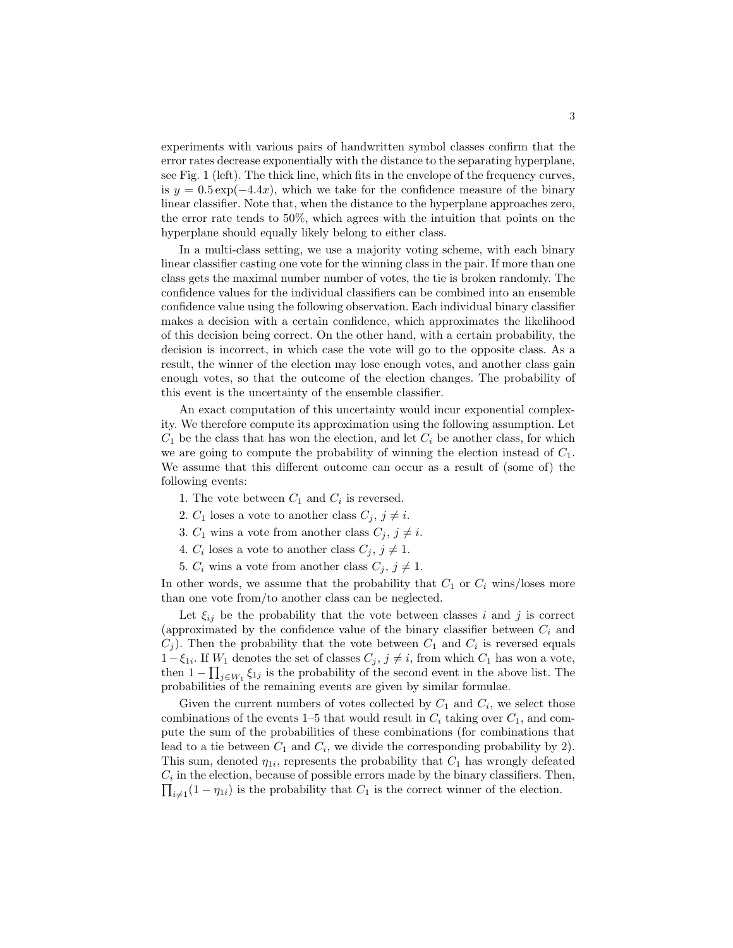experiments with various pairs of handwritten symbol classes confirm that the error rates decrease exponentially with the distance to the separating hyperplane, see Fig. 1 (left). The thick line, which fits in the envelope of the frequency curves, is  $y = 0.5 \exp(-4.4x)$ , which we take for the confidence measure of the binary linear classifier. Note that, when the distance to the hyperplane approaches zero, the error rate tends to 50%, which agrees with the intuition that points on the hyperplane should equally likely belong to either class.

In a multi-class setting, we use a majority voting scheme, with each binary linear classifier casting one vote for the winning class in the pair. If more than one class gets the maximal number number of votes, the tie is broken randomly. The confidence values for the individual classifiers can be combined into an ensemble confidence value using the following observation. Each individual binary classifier makes a decision with a certain confidence, which approximates the likelihood of this decision being correct. On the other hand, with a certain probability, the decision is incorrect, in which case the vote will go to the opposite class. As a result, the winner of the election may lose enough votes, and another class gain enough votes, so that the outcome of the election changes. The probability of this event is the uncertainty of the ensemble classifier.

An exact computation of this uncertainty would incur exponential complexity. We therefore compute its approximation using the following assumption. Let  $C_1$  be the class that has won the election, and let  $C_i$  be another class, for which we are going to compute the probability of winning the election instead of  $C_1$ . We assume that this different outcome can occur as a result of (some of) the following events:

- 1. The vote between  $C_1$  and  $C_i$  is reversed.
- 2.  $C_1$  loses a vote to another class  $C_j$ ,  $j \neq i$ .
- 3.  $C_1$  wins a vote from another class  $C_j$ ,  $j \neq i$ .
- 4.  $C_i$  loses a vote to another class  $C_j$ ,  $j \neq 1$ .
- 5.  $C_i$  wins a vote from another class  $C_j$ ,  $j \neq 1$ .

In other words, we assume that the probability that  $C_1$  or  $C_i$  wins/loses more than one vote from/to another class can be neglected.

Let  $\xi_{ij}$  be the probability that the vote between classes i and j is correct (approximated by the confidence value of the binary classifier between  $C_i$  and  $C_j$ ). Then the probability that the vote between  $C_1$  and  $C_i$  is reversed equals  $1-\xi_{1i}$ . If  $W_1$  denotes the set of classes  $C_j$ ,  $j \neq i$ , from which  $C_1$  has won a vote, then  $1 - \prod_{j \in W_1} \xi_{1j}$  is the probability of the second event in the above list. The probabilities of the remaining events are given by similar formulae.

Given the current numbers of votes collected by  $C_1$  and  $C_i$ , we select those combinations of the events 1–5 that would result in  $C_i$  taking over  $C_1$ , and compute the sum of the probabilities of these combinations (for combinations that lead to a tie between  $C_1$  and  $C_i$ , we divide the corresponding probability by 2). This sum, denoted  $\eta_{1i}$ , represents the probability that  $C_1$  has wrongly defeated  $C_i$  in the election, because of possible errors made by the binary classifiers. Then,  $\prod_{i\neq 1}(1-\eta_{1i})$  is the probability that  $C_1$  is the correct winner of the election.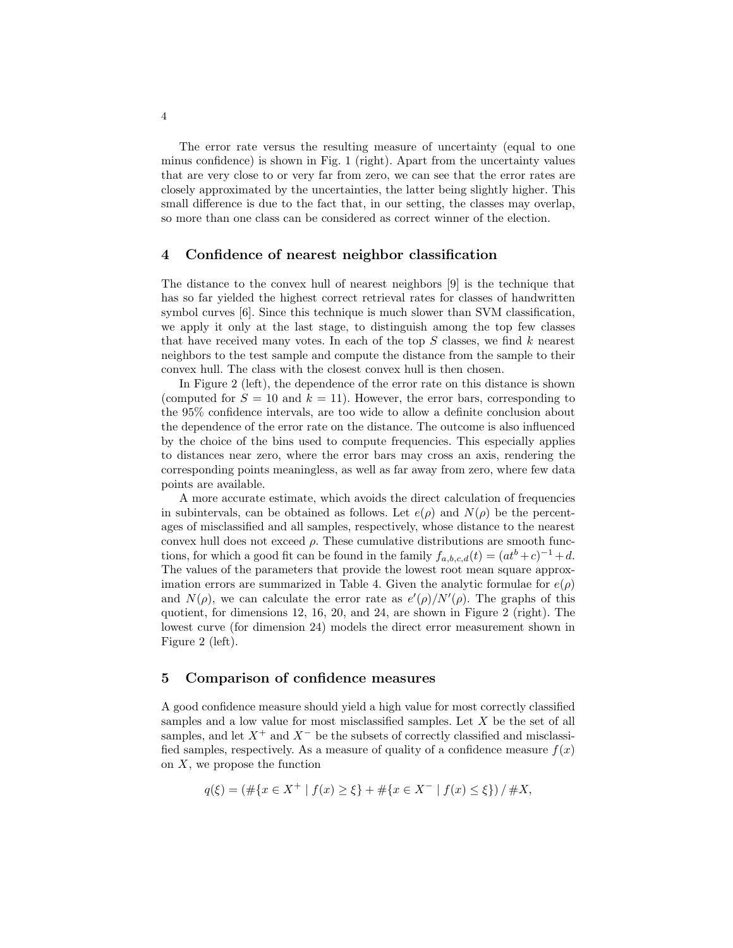The error rate versus the resulting measure of uncertainty (equal to one minus confidence) is shown in Fig. 1 (right). Apart from the uncertainty values that are very close to or very far from zero, we can see that the error rates are closely approximated by the uncertainties, the latter being slightly higher. This small difference is due to the fact that, in our setting, the classes may overlap, so more than one class can be considered as correct winner of the election.

### 4 Confidence of nearest neighbor classification

The distance to the convex hull of nearest neighbors [9] is the technique that has so far yielded the highest correct retrieval rates for classes of handwritten symbol curves [6]. Since this technique is much slower than SVM classification, we apply it only at the last stage, to distinguish among the top few classes that have received many votes. In each of the top  $S$  classes, we find  $k$  nearest neighbors to the test sample and compute the distance from the sample to their convex hull. The class with the closest convex hull is then chosen.

In Figure 2 (left), the dependence of the error rate on this distance is shown (computed for  $S = 10$  and  $k = 11$ ). However, the error bars, corresponding to the 95% confidence intervals, are too wide to allow a definite conclusion about the dependence of the error rate on the distance. The outcome is also influenced by the choice of the bins used to compute frequencies. This especially applies to distances near zero, where the error bars may cross an axis, rendering the corresponding points meaningless, as well as far away from zero, where few data points are available.

A more accurate estimate, which avoids the direct calculation of frequencies in subintervals, can be obtained as follows. Let  $e(\rho)$  and  $N(\rho)$  be the percentages of misclassified and all samples, respectively, whose distance to the nearest convex hull does not exceed  $\rho$ . These cumulative distributions are smooth functions, for which a good fit can be found in the family  $f_{a,b,c,d}(t) = (at^b + c)^{-1} + d$ . The values of the parameters that provide the lowest root mean square approximation errors are summarized in Table 4. Given the analytic formulae for  $e(\rho)$ and  $N(\rho)$ , we can calculate the error rate as  $e'(\rho)/N'(\rho)$ . The graphs of this quotient, for dimensions 12, 16, 20, and 24, are shown in Figure 2 (right). The lowest curve (for dimension 24) models the direct error measurement shown in Figure 2 (left).

#### 5 Comparison of confidence measures

A good confidence measure should yield a high value for most correctly classified samples and a low value for most misclassified samples. Let X be the set of all samples, and let  $X^+$  and  $X^-$  be the subsets of correctly classified and misclassified samples, respectively. As a measure of quality of a confidence measure  $f(x)$ on  $X$ , we propose the function

$$
q(\xi) = (\#\{x \in X^+ \mid f(x) \ge \xi\} + \#\{x \in X^- \mid f(x) \le \xi\}) / \#X,
$$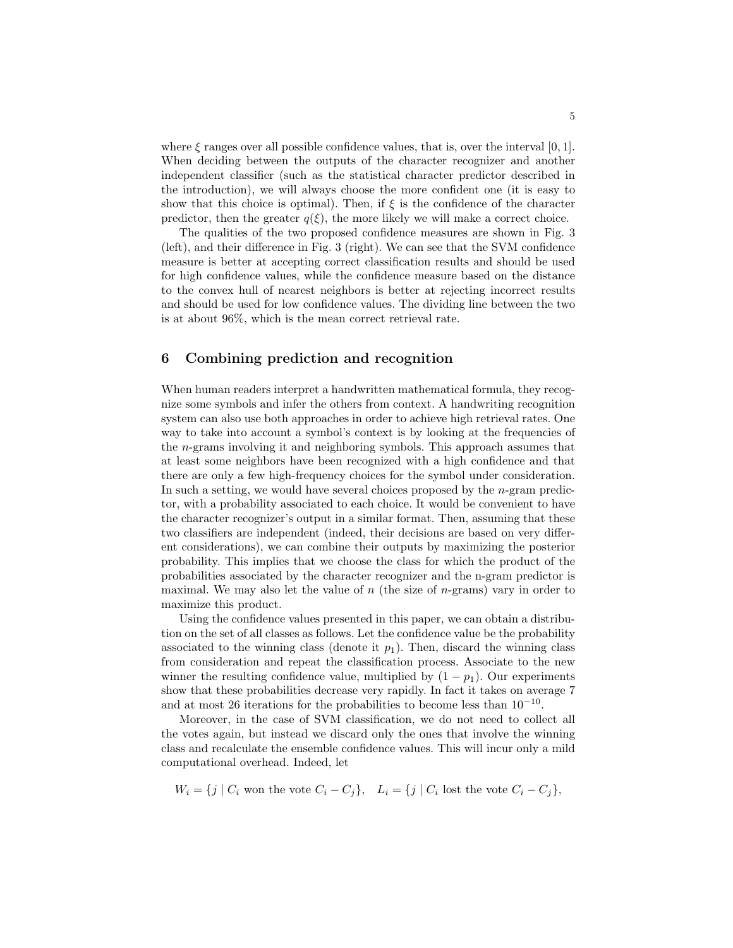where  $\xi$  ranges over all possible confidence values, that is, over the interval [0, 1]. When deciding between the outputs of the character recognizer and another independent classifier (such as the statistical character predictor described in the introduction), we will always choose the more confident one (it is easy to show that this choice is optimal). Then, if  $\xi$  is the confidence of the character predictor, then the greater  $q(\xi)$ , the more likely we will make a correct choice.

The qualities of the two proposed confidence measures are shown in Fig. 3 (left), and their difference in Fig. 3 (right). We can see that the SVM confidence measure is better at accepting correct classification results and should be used for high confidence values, while the confidence measure based on the distance to the convex hull of nearest neighbors is better at rejecting incorrect results and should be used for low confidence values. The dividing line between the two is at about 96%, which is the mean correct retrieval rate.

# 6 Combining prediction and recognition

When human readers interpret a handwritten mathematical formula, they recognize some symbols and infer the others from context. A handwriting recognition system can also use both approaches in order to achieve high retrieval rates. One way to take into account a symbol's context is by looking at the frequencies of the n-grams involving it and neighboring symbols. This approach assumes that at least some neighbors have been recognized with a high confidence and that there are only a few high-frequency choices for the symbol under consideration. In such a setting, we would have several choices proposed by the  $n$ -gram predictor, with a probability associated to each choice. It would be convenient to have the character recognizer's output in a similar format. Then, assuming that these two classifiers are independent (indeed, their decisions are based on very different considerations), we can combine their outputs by maximizing the posterior probability. This implies that we choose the class for which the product of the probabilities associated by the character recognizer and the n-gram predictor is maximal. We may also let the value of  $n$  (the size of n-grams) vary in order to maximize this product.

Using the confidence values presented in this paper, we can obtain a distribution on the set of all classes as follows. Let the confidence value be the probability associated to the winning class (denote it  $p_1$ ). Then, discard the winning class from consideration and repeat the classification process. Associate to the new winner the resulting confidence value, multiplied by  $(1 - p_1)$ . Our experiments show that these probabilities decrease very rapidly. In fact it takes on average 7 and at most 26 iterations for the probabilities to become less than  $10^{-10}$ .

Moreover, in the case of SVM classification, we do not need to collect all the votes again, but instead we discard only the ones that involve the winning class and recalculate the ensemble confidence values. This will incur only a mild computational overhead. Indeed, let

 $W_i = \{j \mid C_i \text{ won the vote } C_i - C_j\}, \quad L_i = \{j \mid C_i \text{ lost the vote } C_i - C_j\},\$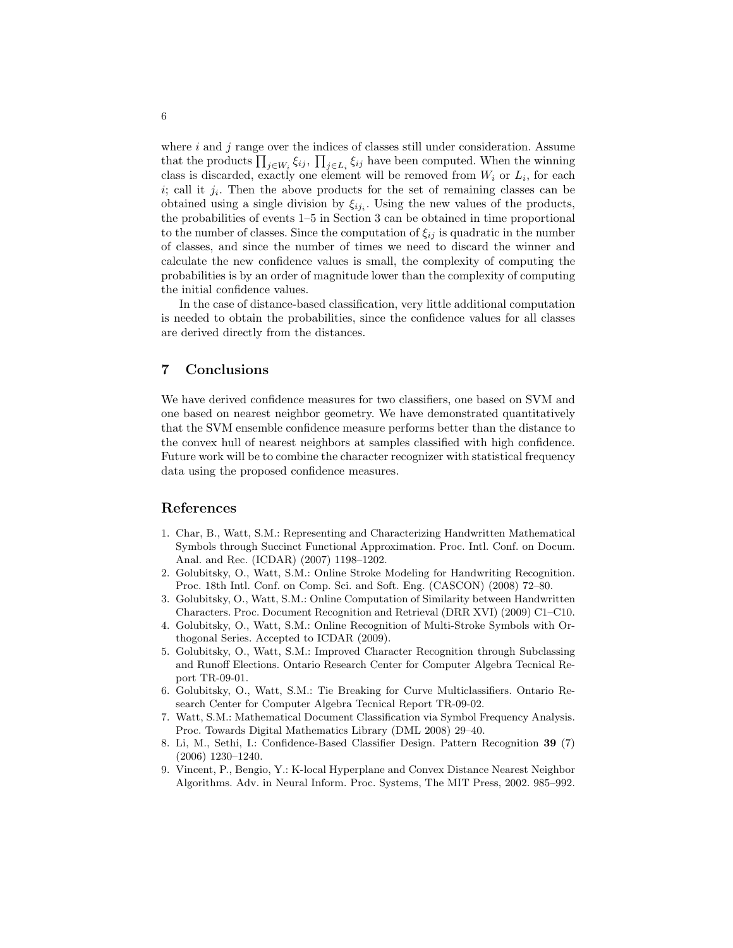where  $i$  and  $j$  range over the indices of classes still under consideration. Assume that the products  $\prod_{j\in W_i} \xi_{ij}$ ,  $\prod_{j\in L_i} \xi_{ij}$  have been computed. When the winning class is discarded, exactly one element will be removed from  $W_i$  or  $L_i$ , for each  $i$ ; call it  $j_i$ . Then the above products for the set of remaining classes can be obtained using a single division by  $\xi_{ij_i}$ . Using the new values of the products, the probabilities of events 1–5 in Section 3 can be obtained in time proportional to the number of classes. Since the computation of  $\xi_{ij}$  is quadratic in the number of classes, and since the number of times we need to discard the winner and calculate the new confidence values is small, the complexity of computing the probabilities is by an order of magnitude lower than the complexity of computing the initial confidence values.

In the case of distance-based classification, very little additional computation is needed to obtain the probabilities, since the confidence values for all classes are derived directly from the distances.

### 7 Conclusions

We have derived confidence measures for two classifiers, one based on SVM and one based on nearest neighbor geometry. We have demonstrated quantitatively that the SVM ensemble confidence measure performs better than the distance to the convex hull of nearest neighbors at samples classified with high confidence. Future work will be to combine the character recognizer with statistical frequency data using the proposed confidence measures.

### References

- 1. Char, B., Watt, S.M.: Representing and Characterizing Handwritten Mathematical Symbols through Succinct Functional Approximation. Proc. Intl. Conf. on Docum. Anal. and Rec. (ICDAR) (2007) 1198–1202.
- 2. Golubitsky, O., Watt, S.M.: Online Stroke Modeling for Handwriting Recognition. Proc. 18th Intl. Conf. on Comp. Sci. and Soft. Eng. (CASCON) (2008) 72–80.
- 3. Golubitsky, O., Watt, S.M.: Online Computation of Similarity between Handwritten Characters. Proc. Document Recognition and Retrieval (DRR XVI) (2009) C1–C10.
- 4. Golubitsky, O., Watt, S.M.: Online Recognition of Multi-Stroke Symbols with Orthogonal Series. Accepted to ICDAR (2009).
- 5. Golubitsky, O., Watt, S.M.: Improved Character Recognition through Subclassing and Runoff Elections. Ontario Research Center for Computer Algebra Tecnical Report TR-09-01.
- 6. Golubitsky, O., Watt, S.M.: Tie Breaking for Curve Multiclassifiers. Ontario Research Center for Computer Algebra Tecnical Report TR-09-02.
- 7. Watt, S.M.: Mathematical Document Classification via Symbol Frequency Analysis. Proc. Towards Digital Mathematics Library (DML 2008) 29–40.
- 8. Li, M., Sethi, I.: Confidence-Based Classifier Design. Pattern Recognition 39 (7) (2006) 1230–1240.
- 9. Vincent, P., Bengio, Y.: K-local Hyperplane and Convex Distance Nearest Neighbor Algorithms. Adv. in Neural Inform. Proc. Systems, The MIT Press, 2002. 985–992.